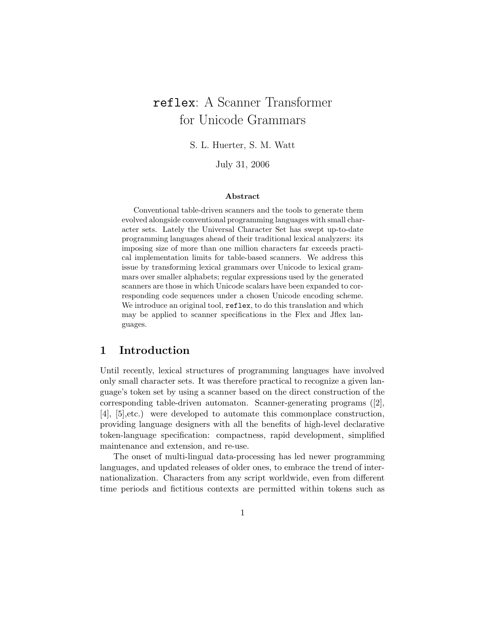# reflex: A Scanner Transformer for Unicode Grammars

S. L. Huerter, S. M. Watt

July 31, 2006

#### Abstract

Conventional table-driven scanners and the tools to generate them evolved alongside conventional programming languages with small character sets. Lately the Universal Character Set has swept up-to-date programming languages ahead of their traditional lexical analyzers: its imposing size of more than one million characters far exceeds practical implementation limits for table-based scanners. We address this issue by transforming lexical grammars over Unicode to lexical grammars over smaller alphabets; regular expressions used by the generated scanners are those in which Unicode scalars have been expanded to corresponding code sequences under a chosen Unicode encoding scheme. We introduce an original tool,  $\texttt{reflex}$ , to do this translation and which may be applied to scanner specifications in the Flex and Jflex languages.

# 1 Introduction

Until recently, lexical structures of programming languages have involved only small character sets. It was therefore practical to recognize a given language's token set by using a scanner based on the direct construction of the corresponding table-driven automaton. Scanner-generating programs ([2], [4], [5],etc.) were developed to automate this commonplace construction, providing language designers with all the benefits of high-level declarative token-language specification: compactness, rapid development, simplified maintenance and extension, and re-use.

The onset of multi-lingual data-processing has led newer programming languages, and updated releases of older ones, to embrace the trend of internationalization. Characters from any script worldwide, even from different time periods and fictitious contexts are permitted within tokens such as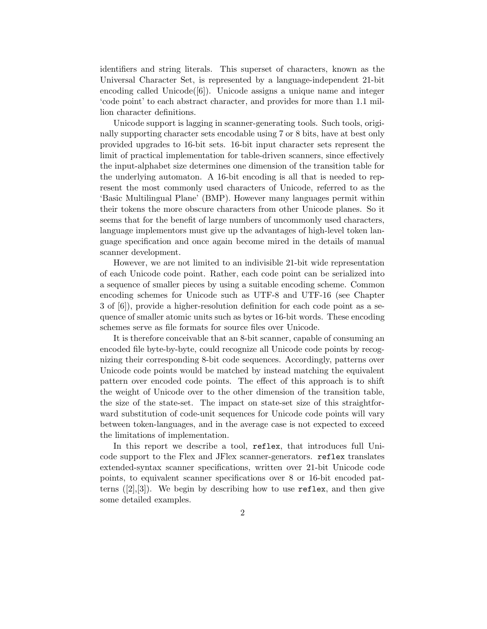identifiers and string literals. This superset of characters, known as the Universal Character Set, is represented by a language-independent 21-bit encoding called Unicode $([6])$ . Unicode assigns a unique name and integer 'code point' to each abstract character, and provides for more than 1.1 million character definitions.

Unicode support is lagging in scanner-generating tools. Such tools, originally supporting character sets encodable using 7 or 8 bits, have at best only provided upgrades to 16-bit sets. 16-bit input character sets represent the limit of practical implementation for table-driven scanners, since effectively the input-alphabet size determines one dimension of the transition table for the underlying automaton. A 16-bit encoding is all that is needed to represent the most commonly used characters of Unicode, referred to as the 'Basic Multilingual Plane' (BMP). However many languages permit within their tokens the more obscure characters from other Unicode planes. So it seems that for the benefit of large numbers of uncommonly used characters, language implementors must give up the advantages of high-level token language specification and once again become mired in the details of manual scanner development.

However, we are not limited to an indivisible 21-bit wide representation of each Unicode code point. Rather, each code point can be serialized into a sequence of smaller pieces by using a suitable encoding scheme. Common encoding schemes for Unicode such as UTF-8 and UTF-16 (see Chapter 3 of [6]), provide a higher-resolution definition for each code point as a sequence of smaller atomic units such as bytes or 16-bit words. These encoding schemes serve as file formats for source files over Unicode.

It is therefore conceivable that an 8-bit scanner, capable of consuming an encoded file byte-by-byte, could recognize all Unicode code points by recognizing their corresponding 8-bit code sequences. Accordingly, patterns over Unicode code points would be matched by instead matching the equivalent pattern over encoded code points. The effect of this approach is to shift the weight of Unicode over to the other dimension of the transition table, the size of the state-set. The impact on state-set size of this straightforward substitution of code-unit sequences for Unicode code points will vary between token-languages, and in the average case is not expected to exceed the limitations of implementation.

In this report we describe a tool, reflex, that introduces full Unicode support to the Flex and JFlex scanner-generators. reflex translates extended-syntax scanner specifications, written over 21-bit Unicode code points, to equivalent scanner specifications over 8 or 16-bit encoded patterns  $([2],[3])$ . We begin by describing how to use reflex, and then give some detailed examples.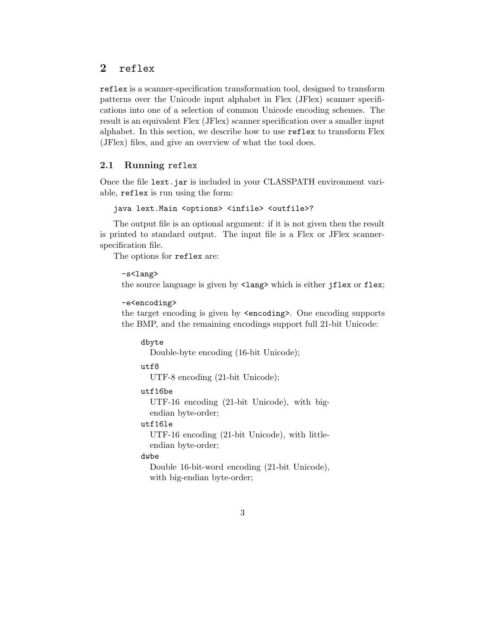## 2 reflex

reflex is a scanner-specification transformation tool, designed to transform patterns over the Unicode input alphabet in Flex (JFlex) scanner specifications into one of a selection of common Unicode encoding schemes. The result is an equivalent Flex (JFlex) scanner specification over a smaller input alphabet. In this section, we describe how to use reflex to transform Flex (JFlex) files, and give an overview of what the tool does.

## 2.1 Running reflex

Once the file lext.jar is included in your CLASSPATH environment variable, reflex is run using the form:

```
java lext.Main <options> <infile> <outfile>?
```
The output file is an optional argument: if it is not given then the result is printed to standard output. The input file is a Flex or JFlex scannerspecification file.

The options for reflex are:

```
-s<lang>
```
the source language is given by  $\langle \text{lang} \rangle$  which is either jflex or flex;

```
-e<encoding>
```
the target encoding is given by <encoding>. One encoding supports the BMP, and the remaining encodings support full 21-bit Unicode:

dbyte Double-byte encoding (16-bit Unicode); utf8 UTF-8 encoding (21-bit Unicode); utf16be UTF-16 encoding (21-bit Unicode), with bigendian byte-order;

## utf16le

UTF-16 encoding (21-bit Unicode), with littleendian byte-order;

#### dwbe

Double 16-bit-word encoding (21-bit Unicode), with big-endian byte-order;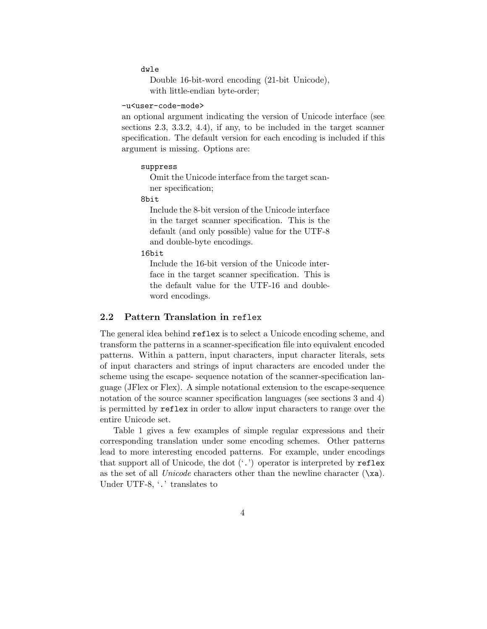#### dwle

```
Double 16-bit-word encoding (21-bit Unicode),
with little-endian byte-order;
```
#### -u<user-code-mode>

an optional argument indicating the version of Unicode interface (see sections 2.3, 3.3.2, 4.4), if any, to be included in the target scanner specification. The default version for each encoding is included if this argument is missing. Options are:

#### suppress

Omit the Unicode interface from the target scanner specification;

#### 8bit

Include the 8-bit version of the Unicode interface in the target scanner specification. This is the default (and only possible) value for the UTF-8 and double-byte encodings.

#### 16bit

Include the 16-bit version of the Unicode interface in the target scanner specification. This is the default value for the UTF-16 and doubleword encodings.

### 2.2 Pattern Translation in reflex

The general idea behind reflex is to select a Unicode encoding scheme, and transform the patterns in a scanner-specification file into equivalent encoded patterns. Within a pattern, input characters, input character literals, sets of input characters and strings of input characters are encoded under the scheme using the escape- sequence notation of the scanner-specification language (JFlex or Flex). A simple notational extension to the escape-sequence notation of the source scanner specification languages (see sections 3 and 4) is permitted by reflex in order to allow input characters to range over the entire Unicode set.

Table 1 gives a few examples of simple regular expressions and their corresponding translation under some encoding schemes. Other patterns lead to more interesting encoded patterns. For example, under encodings that support all of Unicode, the dot  $(\cdot, \cdot)$  operator is interpreted by reflex as the set of all *Unicode* characters other than the newline character  $(\lambda x)$ . Under UTF-8, '.' translates to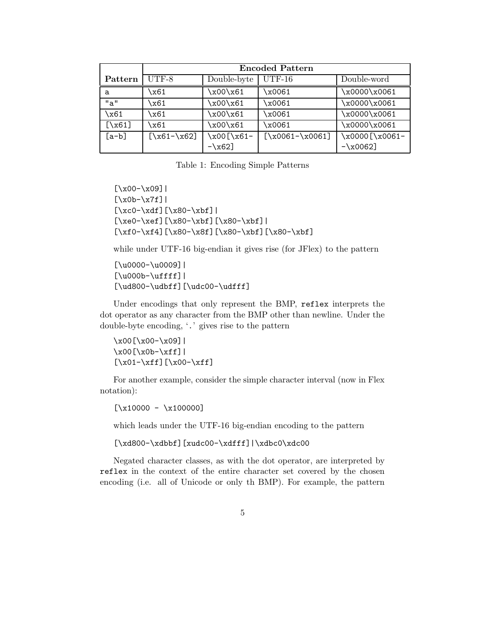|           | <b>Encoded Pattern</b> |             |                   |                |
|-----------|------------------------|-------------|-------------------|----------------|
| Pattern   | $UTF-8$                | Double-byte | $UTF-16$          | Double-word    |
| a         | \x61                   | x00\x61     | x0061\            | \x0000\x0061   |
| "a"       | \x61                   | x00\x61     | x0061\            | \x0000\x0061   |
| \x61      | x61\                   | x00\x61     | x0061\            | \x0000\x0061   |
| $[\x{5}$  | \x61                   | x00\x61     | x0061             | \x0000\x0061   |
| $[a - b]$ | $[\x61-\x62]$          | x00[\x61-   | $[\x0061-\x0061]$ | \x0000[\x0061- |
|           |                        | $-\x62$ ]   |                   | $-\x0062$      |

Table 1: Encoding Simple Patterns

```
[\x00-\x09][\x0b-\x7f][\xco-\xdf][\x80-\xbf{}][\xe0-\xef][\x80-\xbf][\x80-\xbf]|
[\xf0-\xf4][\x80-\x8f][\x80-\xbf][\x80-\xbf]
```
while under UTF-16 big-endian it gives rise (for JFlex) to the pattern

[\u0000-\u0009]| [\u000b-\uffff]| [\ud800-\udbff][\udc00-\udfff]

Under encodings that only represent the BMP, reflex interprets the dot operator as any character from the BMP other than newline. Under the double-byte encoding, '.' gives rise to the pattern

\x00[\x00-\x09]|  $\x00[\x0b-\xff]$ [\x01-\xff][\x00-\xff]

For another example, consider the simple character interval (now in Flex notation):

 $[\x{10000 - x100000}]$ 

which leads under the UTF-16 big-endian encoding to the pattern

[\xd800-\xdbbf][xudc00-\xdfff]|\xdbc0\xdc00

Negated character classes, as with the dot operator, are interpreted by reflex in the context of the entire character set covered by the chosen encoding (i.e. all of Unicode or only th BMP). For example, the pattern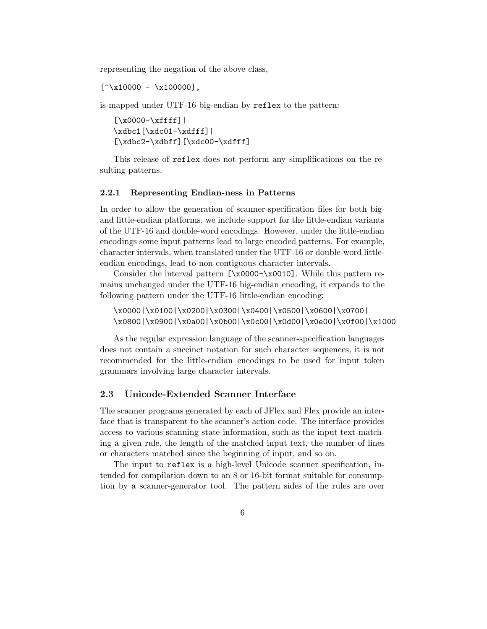representing the negation of the above class,

 $[\hat{\ } \times 10000 - \times 100000],$ 

is mapped under UTF-16 big-endian by reflex to the pattern:

 $[\x0000-\xffff]$ \xdbc1[\xdc01-\xdfff]|  $[\xdbc2-\xdbff][\xdc00-\xdfff]$ 

This release of reflex does not perform any simplifications on the resulting patterns.

#### 2.2.1 Representing Endian-ness in Patterns

In order to allow the generation of scanner-specification files for both bigand little-endian platforms, we include support for the little-endian variants of the UTF-16 and double-word encodings. However, under the little-endian encodings some input patterns lead to large encoded patterns. For example, character intervals, when translated under the UTF-16 or double-word littleendian encodings, lead to non-contiguous character intervals.

Consider the interval pattern [\x0000-\x0010]. While this pattern remains unchanged under the UTF-16 big-endian encoding, it expands to the following pattern under the UTF-16 little-endian encoding:

\x0000|\x0100|\x0200|\x0300|\x0400|\x0500|\x0600|\x0700| \x0800|\x0900|\x0a00|\x0b00|\x0c00|\x0d00|\x0e00|\x0f00|\x1000

As the regular expression language of the scanner-specification languages does not contain a succinct notation for such character sequences, it is not recommended for the little-endian encodings to be used for input token grammars involving large character intervals.

### 2.3 Unicode-Extended Scanner Interface

The scanner programs generated by each of JFlex and Flex provide an interface that is transparent to the scanner's action code. The interface provides access to various scanning state information, such as the input text matching a given rule, the length of the matched input text, the number of lines or characters matched since the beginning of input, and so on.

The input to reflex is a high-level Unicode scanner specification, intended for compilation down to an 8 or 16-bit format suitable for consumption by a scanner-generator tool. The pattern sides of the rules are over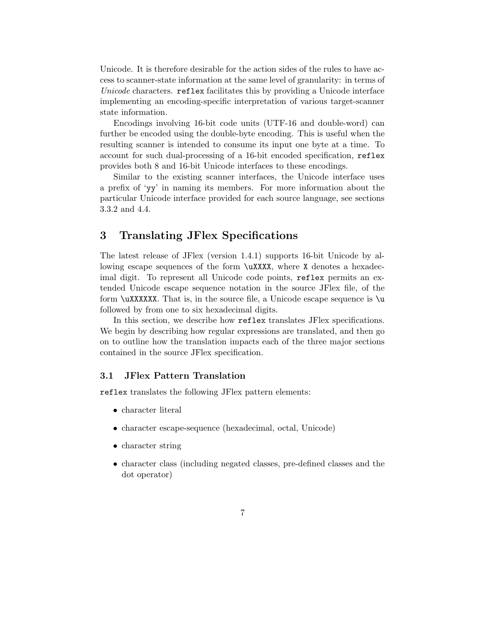Unicode. It is therefore desirable for the action sides of the rules to have access to scanner-state information at the same level of granularity: in terms of Unicode characters. reflex facilitates this by providing a Unicode interface implementing an encoding-specific interpretation of various target-scanner state information.

Encodings involving 16-bit code units (UTF-16 and double-word) can further be encoded using the double-byte encoding. This is useful when the resulting scanner is intended to consume its input one byte at a time. To account for such dual-processing of a 16-bit encoded specification, reflex provides both 8 and 16-bit Unicode interfaces to these encodings.

Similar to the existing scanner interfaces, the Unicode interface uses a prefix of 'yy' in naming its members. For more information about the particular Unicode interface provided for each source language, see sections 3.3.2 and 4.4.

# 3 Translating JFlex Specifications

The latest release of JFlex (version 1.4.1) supports 16-bit Unicode by allowing escape sequences of the form \uXXXX, where X denotes a hexadecimal digit. To represent all Unicode code points, reflex permits an extended Unicode escape sequence notation in the source JFlex file, of the form  $\u_{\text{XXXXXX}}$ . That is, in the source file, a Unicode escape sequence is  $\u$ followed by from one to six hexadecimal digits.

In this section, we describe how reflex translates JFlex specifications. We begin by describing how regular expressions are translated, and then go on to outline how the translation impacts each of the three major sections contained in the source JFlex specification.

## 3.1 JFlex Pattern Translation

reflex translates the following JFlex pattern elements:

- character literal
- character escape-sequence (hexadecimal, octal, Unicode)
- character string
- character class (including negated classes, pre-defined classes and the dot operator)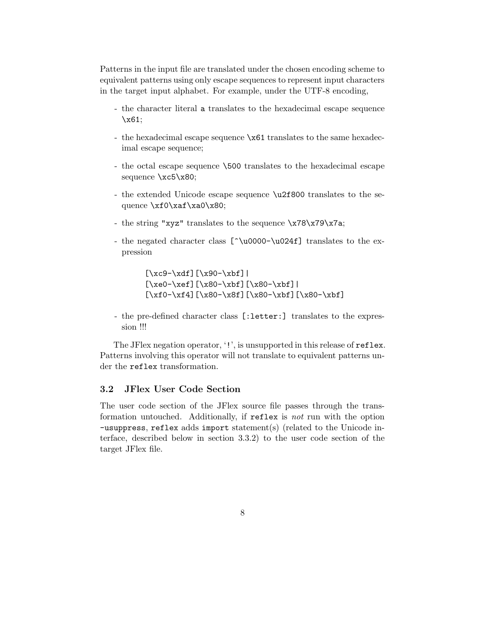Patterns in the input file are translated under the chosen encoding scheme to equivalent patterns using only escape sequences to represent input characters in the target input alphabet. For example, under the UTF-8 encoding,

- the character literal a translates to the hexadecimal escape sequence \x61;
- the hexadecimal escape sequence  $x61$  translates to the same hexadecimal escape sequence;
- the octal escape sequence \500 translates to the hexadecimal escape sequence \xc5\x80;
- the extended Unicode escape sequence \u2f800 translates to the sequence \xf0\xaf\xa0\x80;
- the string "xyz" translates to the sequence \x78\x79\x7a;
- the negated character class [^\u0000−\u024f] translates to the expression

```
[\xc9-\xdf][\x90-\xbf]|
[\xe0-\xef][\x80-\xbf][\x80-\xbf]|
[\x60-\x64] [\x80-\x8f] [\x80-\x6f] [\x80-\x6f]
```
- the pre-defined character class [:letter:] translates to the expression !!!

The JFlex negation operator, '!', is unsupported in this release of reflex. Patterns involving this operator will not translate to equivalent patterns under the reflex transformation.

## 3.2 JFlex User Code Section

The user code section of the JFlex source file passes through the transformation untouched. Additionally, if reflex is not run with the option -usuppress, reflex adds import statement(s) (related to the Unicode interface, described below in section 3.3.2) to the user code section of the target JFlex file.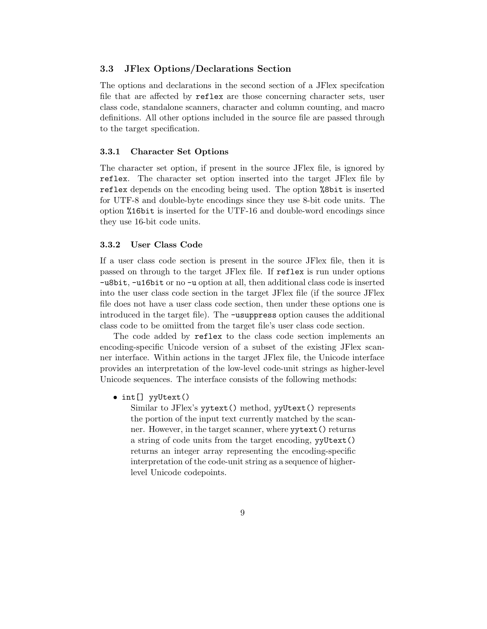#### 3.3 JFlex Options/Declarations Section

The options and declarations in the second section of a JFlex specifcation file that are affected by reflex are those concerning character sets, user class code, standalone scanners, character and column counting, and macro definitions. All other options included in the source file are passed through to the target specification.

#### 3.3.1 Character Set Options

The character set option, if present in the source JFlex file, is ignored by reflex. The character set option inserted into the target JFlex file by reflex depends on the encoding being used. The option %8bit is inserted for UTF-8 and double-byte encodings since they use 8-bit code units. The option %16bit is inserted for the UTF-16 and double-word encodings since they use 16-bit code units.

#### 3.3.2 User Class Code

If a user class code section is present in the source JFlex file, then it is passed on through to the target JFlex file. If reflex is run under options -u8bit, -u16bit or no -u option at all, then additional class code is inserted into the user class code section in the target JFlex file (if the source JFlex file does not have a user class code section, then under these options one is introduced in the target file). The -usuppress option causes the additional class code to be omiitted from the target file's user class code section.

The code added by reflex to the class code section implements an encoding-specific Unicode version of a subset of the existing JFlex scanner interface. Within actions in the target JFlex file, the Unicode interface provides an interpretation of the low-level code-unit strings as higher-level Unicode sequences. The interface consists of the following methods:

• int[] yyUtext()

Similar to JFlex's yytext() method, yyUtext() represents the portion of the input text currently matched by the scanner. However, in the target scanner, where yytext() returns a string of code units from the target encoding, yyUtext() returns an integer array representing the encoding-specific interpretation of the code-unit string as a sequence of higherlevel Unicode codepoints.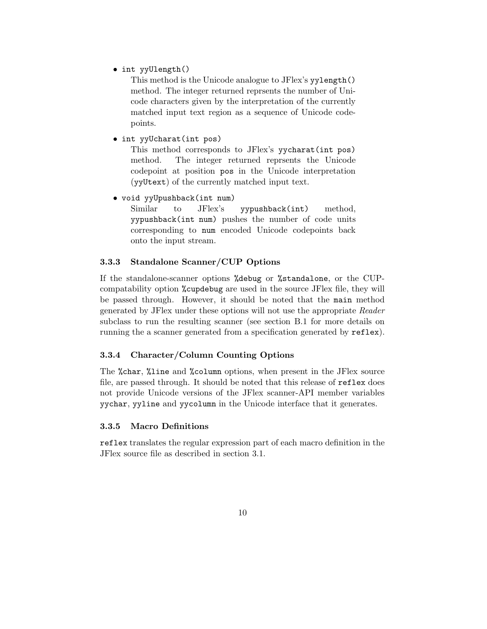• int yyUlength()

This method is the Unicode analogue to JFlex's yylength() method. The integer returned reprsents the number of Unicode characters given by the interpretation of the currently matched input text region as a sequence of Unicode codepoints.

• int yyUcharat(int pos)

This method corresponds to JFlex's yycharat(int pos) method. The integer returned reprsents the Unicode codepoint at position pos in the Unicode interpretation (yyUtext) of the currently matched input text.

• void yyUpushback(int num)

Similar to JFlex's yypushback(int) method, yypushback(int num) pushes the number of code units corresponding to num encoded Unicode codepoints back onto the input stream.

### 3.3.3 Standalone Scanner/CUP Options

If the standalone-scanner options %debug or %standalone, or the CUPcompatability option %cupdebug are used in the source JFlex file, they will be passed through. However, it should be noted that the main method generated by JFlex under these options will not use the appropriate Reader subclass to run the resulting scanner (see section B.1 for more details on running the a scanner generated from a specification generated by  $\texttt{reflex}$ ).

### 3.3.4 Character/Column Counting Options

The %char, %line and %column options, when present in the JFlex source file, are passed through. It should be noted that this release of reflex does not provide Unicode versions of the JFlex scanner-API member variables yychar, yyline and yycolumn in the Unicode interface that it generates.

### 3.3.5 Macro Definitions

reflex translates the regular expression part of each macro definition in the JFlex source file as described in section 3.1.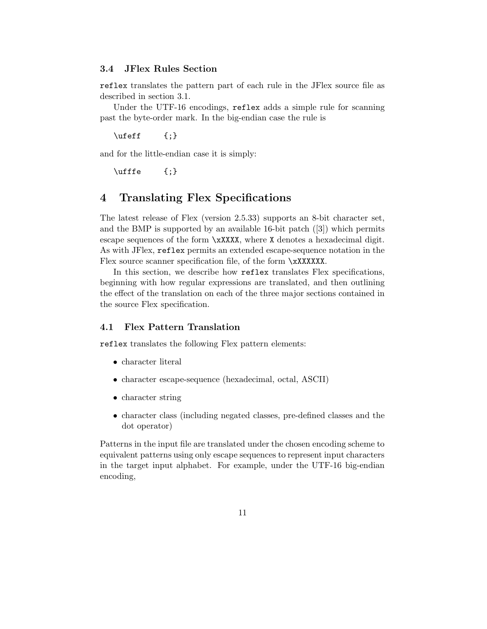#### 3.4 JFlex Rules Section

reflex translates the pattern part of each rule in the JFlex source file as described in section 3.1.

Under the UTF-16 encodings, reflex adds a simple rule for scanning past the byte-order mark. In the big-endian case the rule is

 $\left\{\right\}$  {; }

and for the little-endian case it is simply:

 $\left\{\right\}$  {; }

# 4 Translating Flex Specifications

The latest release of Flex (version 2.5.33) supports an 8-bit character set, and the BMP is supported by an available 16-bit patch ([3]) which permits escape sequences of the form \xXXXX, where X denotes a hexadecimal digit. As with JFlex, reflex permits an extended escape-sequence notation in the Flex source scanner specification file, of the form \xXXXXXX.

In this section, we describe how reflex translates Flex specifications, beginning with how regular expressions are translated, and then outlining the effect of the translation on each of the three major sections contained in the source Flex specification.

## 4.1 Flex Pattern Translation

reflex translates the following Flex pattern elements:

- character literal
- character escape-sequence (hexadecimal, octal, ASCII)
- character string
- character class (including negated classes, pre-defined classes and the dot operator)

Patterns in the input file are translated under the chosen encoding scheme to equivalent patterns using only escape sequences to represent input characters in the target input alphabet. For example, under the UTF-16 big-endian encoding,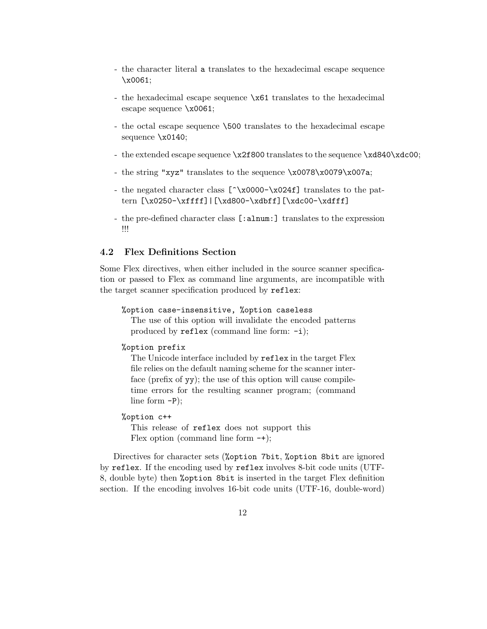- the character literal a translates to the hexadecimal escape sequence \x0061;
- the hexadecimal escape sequence \x61 translates to the hexadecimal escape sequence \x0061;
- the octal escape sequence \500 translates to the hexadecimal escape sequence \x0140;
- the extended escape sequence \x2f800 translates to the sequence \xd840\xdc00;
- the string "xyz" translates to the sequence \x0078\x0079\x007a;
- the negated character class [^\x0000−\x024f] translates to the pattern [\x0250-\xffff]|[\xd800-\xdbff][\xdc00-\xdfff]
- the pre-defined character class [:alnum:] translates to the expression !!!

#### 4.2 Flex Definitions Section

Some Flex directives, when either included in the source scanner specification or passed to Flex as command line arguments, are incompatible with the target scanner specification produced by reflex:

```
%option case-insensitive, %option caseless
```
The use of this option will invalidate the encoded patterns produced by reflex (command line form: -i);

#### %option prefix

The Unicode interface included by reflex in the target Flex file relies on the default naming scheme for the scanner interface (prefix of yy); the use of this option will cause compiletime errors for the resulting scanner program; (command line form -P);

#### %option c++

This release of reflex does not support this Flex option (command line form  $-+$ );

Directives for character sets (%option 7bit, %option 8bit are ignored by reflex. If the encoding used by reflex involves 8-bit code units (UTF-8, double byte) then %option 8bit is inserted in the target Flex definition section. If the encoding involves 16-bit code units (UTF-16, double-word)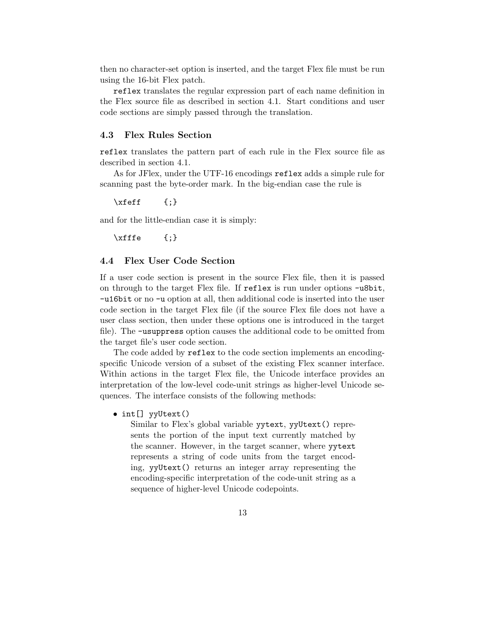then no character-set option is inserted, and the target Flex file must be run using the 16-bit Flex patch.

reflex translates the regular expression part of each name definition in the Flex source file as described in section 4.1. Start conditions and user code sections are simply passed through the translation.

### 4.3 Flex Rules Section

reflex translates the pattern part of each rule in the Flex source file as described in section 4.1.

As for JFlex, under the UTF-16 encodings reflex adds a simple rule for scanning past the byte-order mark. In the big-endian case the rule is

 $\setminus$ xfeff {;}

and for the little-endian case it is simply:

 $\chi$ fffe {;}

### 4.4 Flex User Code Section

If a user code section is present in the source Flex file, then it is passed on through to the target Flex file. If reflex is run under options -u8bit, -u16bit or no -u option at all, then additional code is inserted into the user code section in the target Flex file (if the source Flex file does not have a user class section, then under these options one is introduced in the target file). The -usuppress option causes the additional code to be omitted from the target file's user code section.

The code added by reflex to the code section implements an encodingspecific Unicode version of a subset of the existing Flex scanner interface. Within actions in the target Flex file, the Unicode interface provides an interpretation of the low-level code-unit strings as higher-level Unicode sequences. The interface consists of the following methods:

• int[] yyUtext()

Similar to Flex's global variable yytext, yyUtext() represents the portion of the input text currently matched by the scanner. However, in the target scanner, where yytext represents a string of code units from the target encoding, yyUtext() returns an integer array representing the encoding-specific interpretation of the code-unit string as a sequence of higher-level Unicode codepoints.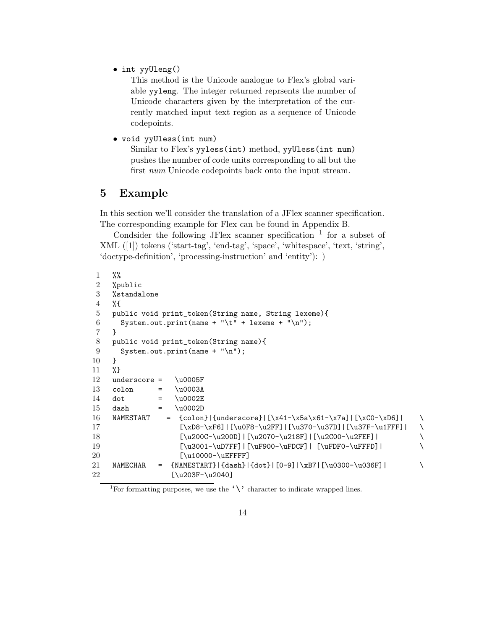• int yyUleng()

This method is the Unicode analogue to Flex's global variable yyleng. The integer returned reprsents the number of Unicode characters given by the interpretation of the currently matched input text region as a sequence of Unicode codepoints.

• void yyUless(int num)

Similar to Flex's yyless(int) method, yyUless(int num) pushes the number of code units corresponding to all but the first num Unicode codepoints back onto the input stream.

# 5 Example

In this section we'll consider the translation of a JFlex scanner specification. The corresponding example for Flex can be found in Appendix B.

Condsider the following JFlex scanner specification  $1$  for a subset of XML ([1]) tokens ('start-tag', 'end-tag', 'space', 'whitespace', 'text, 'string', 'doctype-definition', 'processing-instruction' and 'entity'): )

```
1 %%
2 %public
3 %standalone
4 %{
5 public void print_token(String name, String lexeme){
6 System.out.print(name + "\t" + lexeme + "\n");
7 }
8 public void print_token(String name){
9 System.out.print(name + "\n");
10 }
11 %}
12 underscore = \u0005F13 colon = \u0003A14 dot = \u0002E15 dash = \u0002D16 NAMESTART = \{colon\| \x41-\x5a\x61-\x7a\} | \xC0-\xD6 \} |17 [\xD8-\xF6]|[\u0F8-\u2FF]|[\u370-\u37D]|[\u37F-\u1FFF]| \
18 [\u200C-\u200D]|[\u2070-\u218F]|[\u2C00-\u2FEF]| \
19 [\u3001-\uDTFF] | [\uF900-\uFDCF] | [\uFDF0-\uFFFD] | \20 [\u10000-\uEFFFF]
21 NAMECHAR = \{NAMESTART}\ \{dash\} \{dot\} [0-9] \xB7 \{ \u0300-\u036F \}22 [\u203F-\u2040]
```
<sup>1</sup>For formatting purposes, we use the  $\langle \rangle$  character to indicate wrapped lines.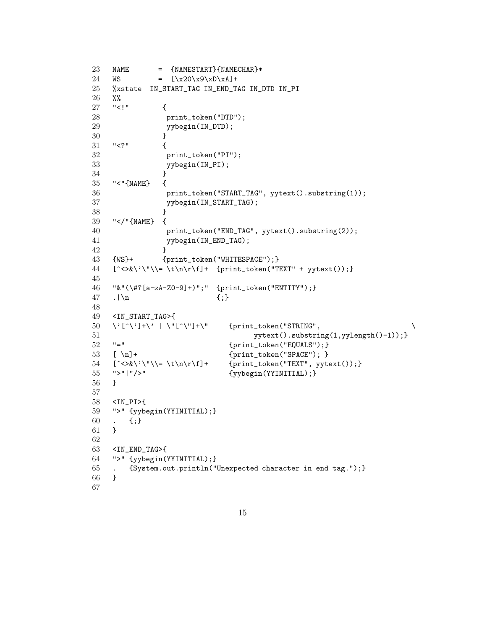```
23 NAME = {NAMESTART}{NAMECHAR}*
24 WS = [\x20 \x9 \xD \xA]+25 %xstate IN_START_TAG IN_END_TAG IN_DTD IN_PI
26 %%
27 "<!" {
28 print_token("DTD");
29 yybegin(IN_DTD);
30 }
31 "<?" {
32 print_token("PI");
33 yybegin(IN_PI);
34 }
35 "<"{NAME} {
36 print_token("START_TAG", yytext().substring(1));
37 yybegin(IN_START_TAG);
38 }
39 "</"{NAME} {
40 print_token("END_TAG", yytext().substring(2));
41 yybegin(IN_END_TAG);
42 }
43 {WS}+ {print_token("WHITESPACE");}
44 [^{\ltimes}\ \'\"\\= \t\n\r\f]+ {print_token("TEXT" + yytext());}
45
46 "&"(\#?[a-zA-Z0-9]+)";" {print_token("ENTITY");}
47 .|\n {;}
48
49 <IN_START_TAG>{
50 \quad \backslash \text{'}[\ulcorner \backslash \text{'}] + \backslash \text{'} \mid \backslash \text{''}[\ulcorner \backslash \text{''}] + \backslash \text{''} {print_token("STRING",
51 yytext().substring(1,yylength()-1));}
52 "=" {print_token("EQUALS");}
53 [ \n] + {print_token("SPACE"); }
54 [^{\ltimes}\&\'}\&\= \t\trian{\min}\to\mathbb{P} {\min}\to{\min}\ {\max}\ , yytext());
55 ">"|"/>" {yybegin(YYINITIAL);}
56 }
57
58 <IN_PI>{
59 ">" {yybegin(YYINITIAL);}
60 . \{;\}61 }
62
63 <IN_END_TAG>{
64 ">" {yybegin(YYINITIAL);}
65 . {System.out.println("Unexpected character in end tag.");}
66 }
67
```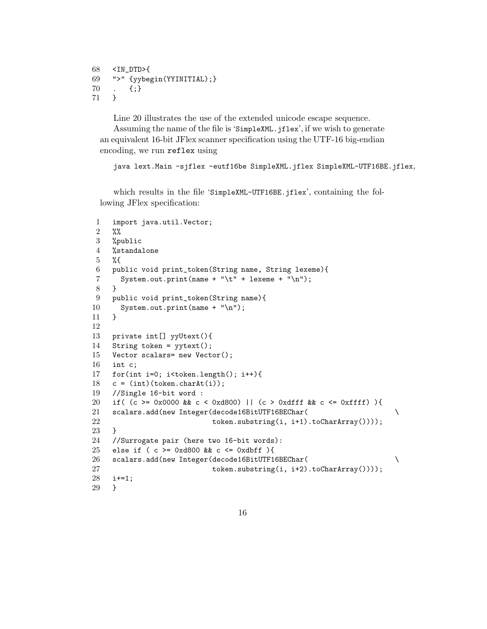```
68 <IN_DTD>{
69 ">" {yybegin(YYINITIAL);}
70 . {;}
71 }
```
Line 20 illustrates the use of the extended unicode escape sequence. Assuming the name of the file is 'SimpleXML.jflex', if we wish to generate

an equivalent 16-bit JFlex scanner specification using the UTF-16 big-endian encoding, we run reflex using

java lext.Main -sjflex -eutf16be SimpleXML.jflex SimpleXML-UTF16BE.jflex,

which results in the file 'SimpleXML-UTF16BE.jflex', containing the following JFlex specification:

```
1 import java.util.Vector;
2 %%
3 %public
4 %standalone
5 %{
6 public void print_token(String name, String lexeme){
7 System.out.print(name + "\t" + lexeme + "\n");
8 }
9 public void print_token(String name){
10 System.out.print(name + "\n");
11 }
12
13 private int[] yyUtext(){
14 String token = yytext();
15 Vector scalars= new Vector();
16 int c;
17 for(int i=0; i<token.length(); i++){
18 c = (int)(token.charAt(i));
19 //Single 16-bit word :
20 if( (c >= 0x0000 && c < 0xd800) || (c > 0xdfff && c <= 0xffff) ){
21 scalars.add(new Integer(decode16BitUTF16BEChar( \
22 token.substring(i, i+1).toCharArray())));
23 }
24 //Surrogate pair (here two 16-bit words):
25 else if ( c >= 0xd800 && c <= 0xdbff ){
26 scalars.add(new Integer(decode16BitUTF16BEChar( \
27 token.substring(i, i+2).toCharArray())));
28 i+=1;
29 }
```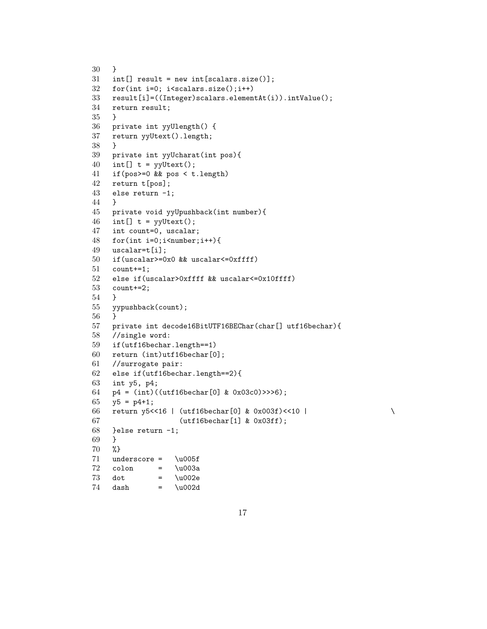```
30 }
31 int[] result = new int[scalars.size()];
32 for(int i=0; i<scalars.size();i++)
33 result[i]=((Integer)scalars.elementAt(i)).intValue();
34 return result;
35 }
36 private int yyUlength() {
37 return yyUtext().length;
38 }
39 private int yyUcharat(int pos){
40 int[] t = yyUtext();
41 if(pos>=0 && pos < t.length)
42 return t[pos];
43 else return -1;
44 }
45 private void yyUpushback(int number){
46 int[] t = yyUtext();
47 int count=0, uscalar;
48 for(int i=0;i<number;i++){
49 uscalar=t[i];
50 if(uscalar>=0x0 && uscalar<=0xffff)
51 count+=1;
52 else if(uscalar>0xffff && uscalar<=0x10ffff)
53 count+=2;
54 }
55 yypushback(count);
56 }
57 private int decode16BitUTF16BEChar(char[] utf16bechar){
58 //single word:
59 if(utf16bechar.length==1)
60 return (int)utf16bechar[0];
61 //surrogate pair:
62 else if(utf16bechar.length==2){
63 int y5, p4;
64 p4 = (int)((utf16bechar[0] & 0x03c0)>>>6);
65 y5 = p4+1;66 return y5<<16 | (utf16bechar[0] & 0x003f)<<10 | \
67 (utf16bechar[1] & 0x03ff);
68 }else return -1;
69 }
70 %}
71 underscore = \u005f
72 colon = \u003a73 dot = \u002e
74 dash = \u002d
```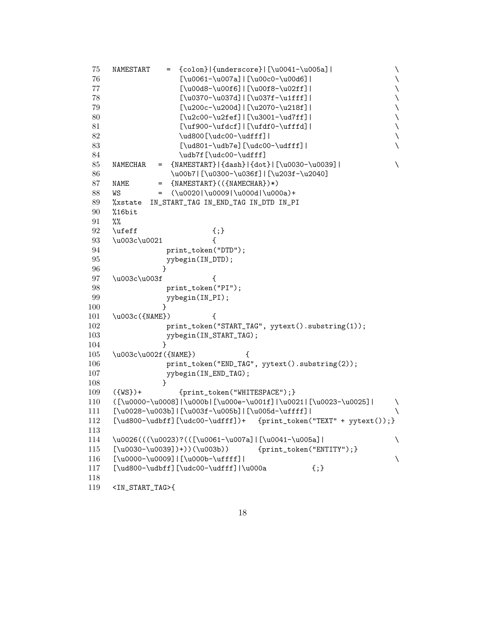NAMESTART = {colon}|{underscore}|[\u0041-\u005a]|  $\qquad \qquad \qquad$  [\u0061-\u007a]|[\u00c0-\u00d6]| \ [\u00d8-\u00f6]|[\u00f8-\u02ff]| \ [\u0370-\u037d]|[\u037f-\u1fff]| \ [\u200c-\u200d]|[\u2070-\u218f]| \ [\u2c00-\u2fef]|[\u3001-\ud7ff]| \ [\uf900-\ufdcf]|[\ufdf0-\ufffd]|  $\qquad$   $\ud800[\udc00-\udff]$  [\ud801-\udb7e][\udc00-\udfff]|  $\qquad$   $\udb7f[\udc00-\udff]$  NAMECHAR =  $\{NANESTART}\$  $\{dash\}$  $\{dot\}$ | $\{u0030-\u0039$ ]| \ \u00b7|[\u0300-\u036f]|[\u203f-\u2040] 87 NAME =  $\{NAMESTART\}((\{NAMECTAR\})*)$  WS =  $(\u0020|\u0009|\u000d|\u000a)+$  %xstate IN\_START\_TAG IN\_END\_TAG IN\_DTD IN\_PI %16bit %% 92 \ufeff  ${;}$  \u003c\u0021 { **print\_token("DTD")**; 95 yybegin(IN\_DTD); } 97 \u003c\u003f { **print\_token("PI")**; 99 yybegin(IN\_PI); } 101 \u003c({NAME}) { 102 print\_token("START\_TAG", yytext().substring(1)); 103 yybegin(IN\_START\_TAG); } 105 \u003c\u002f({NAME}) { **print\_token("END\_TAG", yytext().substring(2));** 107 yybegin(IN\_END\_TAG); } 109 ({WS})+ {print\_token("WHITESPACE");} ([\u0000-\u0008]|\u000b|[\u000e-\u001f]|\u0021|[\u0023-\u0025]| \ [\u0028-\u003b]|[\u003f-\u005b]|[\u005d-\uffff]| \ [\ud800-\udbff][\udc00-\udfff])+ {print\_token("TEXT" + yytext());}  $114 \quad \u0026 ((\u0023)?(([\u0061-\u007a)][\u0041-\u005a]] \$  [\u0030-\u0039])+))(\u003b)) {print\_token("ENTITY");} [\u0000-\u0009]|[\u000b-\uffff]| \ 117  $[\ldots]_{\ud800-\udbf}$ ][\udc00-\udfff]|\u000a {;} <IN\_START\_TAG>{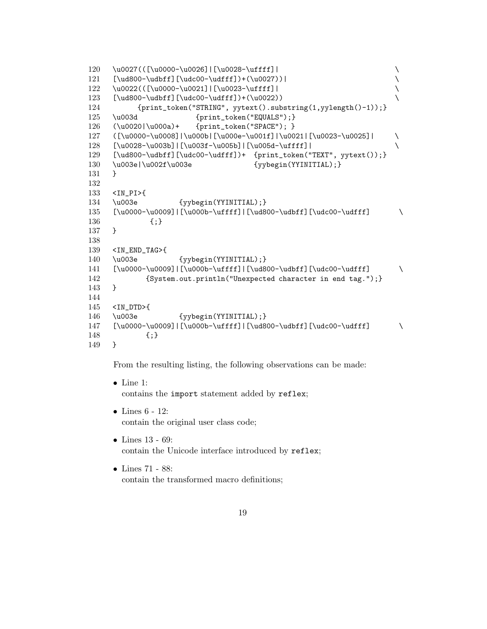```
120 \u0027(([\u0000-\u0026]|[\u0028-\uffff]| \
    [\ldots] {\label{1} $$122 \u0022(([\u0000-\u0021]|[\u0023-\uffff]| \
123 [\ud800-\udbff][\udc00-\udfff])+(\u0022)) \
124 {print_token("STRING", yytext().substring(1,yylength()-1));}
125 \u003d {print_token("EQUALS"); }
126 (\u0020|\u000a)+ {print_token("SPACE"); }
127 ([\u0000-\u0008]|\u000b|[\u000e-\u001f]|\u0021|[\u0023-\u0025]| \
128 [\u0028-\u003b]|[\u003f-\u005b]|[\u005d-\uffff]| \
129 [\ud800-\udbff][\udc00-\udfff])+ {print_token("TEXT", yytext());}
130 \u003e|\u002f\u003e {yybegin(YYINITIAL);}
131 }
132
133 <IN_PI>{
134 \u003e {yybegin(YYINITIAL);}
135 [\u0000-\u0009]|[\u000b-\uffff]|[\ud800-\udbff][\udc00-\udfff] \
136 {;}
137 }
138
139 <IN_END_TAG>{
140 \u003e {yybegin(YYINITIAL);}
141 [\u0000-\u0009]|[\u000b-\uffff]|[\ud800-\udbff][\udc00-\udfff] \
142 {System.out.println("Unexpected character in end tag.");}
143 }
144
145 <IN_DTD>{
146 \u003e {yybegin(YYINITIAL);}
147 [\u0000-\u0009]|[\u000b-\uffff]|[\ud800-\udbff][\udc00-\udfff] \
148 {;}
149 }
```
From the resulting listing, the following observations can be made:

- Line 1: contains the import statement added by reflex;
- Lines 6 12: contain the original user class code;
- Lines 13 69: contain the Unicode interface introduced by reflex;
- Lines 71 88: contain the transformed macro definitions;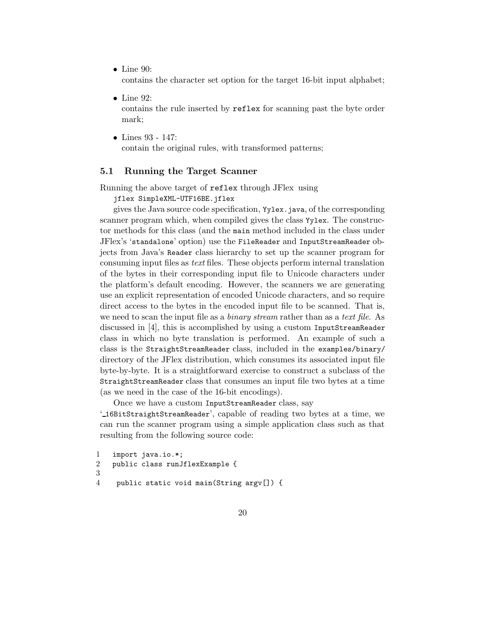• Line 90:

contains the character set option for the target 16-bit input alphabet;

- $\bullet$  Line 92: contains the rule inserted by reflex for scanning past the byte order mark;
- Lines 93 147: contain the original rules, with transformed patterns;

#### 5.1 Running the Target Scanner

Running the above target of reflex through JFlex using

jflex SimpleXML-UTF16BE.jflex

gives the Java source code specification, Yylex.java, of the corresponding scanner program which, when compiled gives the class Yylex. The constructor methods for this class (and the main method included in the class under JFlex's 'standalone' option) use the FileReader and InputStreamReader objects from Java's Reader class hierarchy to set up the scanner program for consuming input files as text files. These objects perform internal translation of the bytes in their corresponding input file to Unicode characters under the platform's default encoding. However, the scanners we are generating use an explicit representation of encoded Unicode characters, and so require direct access to the bytes in the encoded input file to be scanned. That is, we need to scan the input file as a *binary stream* rather than as a *text file.* As discussed in [4], this is accomplished by using a custom InputStreamReader class in which no byte translation is performed. An example of such a class is the StraightStreamReader class, included in the examples/binary/ directory of the JFlex distribution, which consumes its associated input file byte-by-byte. It is a straightforward exercise to construct a subclass of the StraightStreamReader class that consumes an input file two bytes at a time (as we need in the case of the 16-bit encodings).

Once we have a custom InputStreamReader class, say

' 16BitStraightStreamReader', capable of reading two bytes at a time, we can run the scanner program using a simple application class such as that resulting from the following source code:

```
1 import java.io.*;
2 public class runJflexExample {
3
4 public static void main(String argv[]) {
```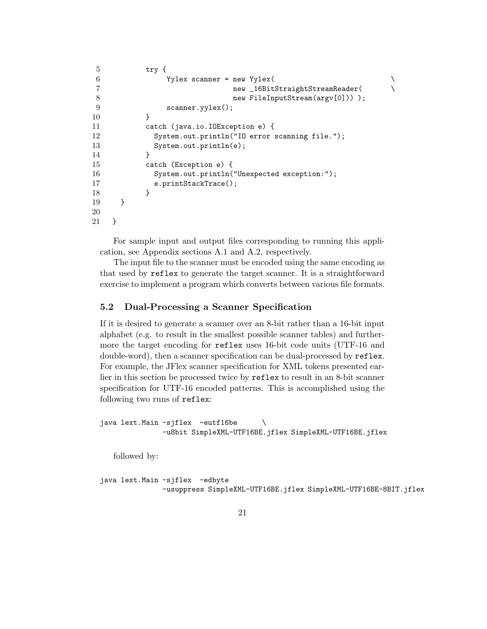```
5 try {
6 Yylex scanner = new Yylex(
7 new _16BitStraightStreamReader( \setminus8 new FileInputStream(argv[0])) );
9 scanner.yylex();
10 }
11 catch (java.io.IOException e) {
12 System.out.println("IO error scanning file.");
13 System.out.println(e);
14 }
15 catch (Exception e) {
16 System.out.println("Unexpected exception:");
17 e.printStackTrace();
18 }
19 }
20
21 }
```
For sample input and output files corresponding to running this application, see Appendix sections A.1 and A.2, respectively.

The input file to the scanner must be encoded using the same encoding as that used by reflex to generate the target scanner. It is a straightforward exercise to implement a program which converts between various file formats.

## 5.2 Dual-Processing a Scanner Specification

If it is desired to generate a scanner over an 8-bit rather than a 16-bit input alphabet (e.g. to result in the smallest possible scanner tables) and furthermore the target encoding for reflex uses 16-bit code units (UTF-16 and double-word), then a scanner specification can be dual-processed by reflex. For example, the JFlex scanner specification for XML tokens presented earlier in this section be processed twice by reflex to result in an 8-bit scanner specification for UTF-16 encoded patterns. This is accomplished using the following two runs of reflex:

```
java lext.Main -sjflex -eutf16be \
              -u8bit SimpleXML-UTF16BE.jflex SimpleXML-UTF16BE.jflex
```
followed by:

```
java lext.Main -sjflex -edbyte
              -usuppress SimpleXML-UTF16BE.jflex SimpleXML-UTF16BE-8BIT.jflex
```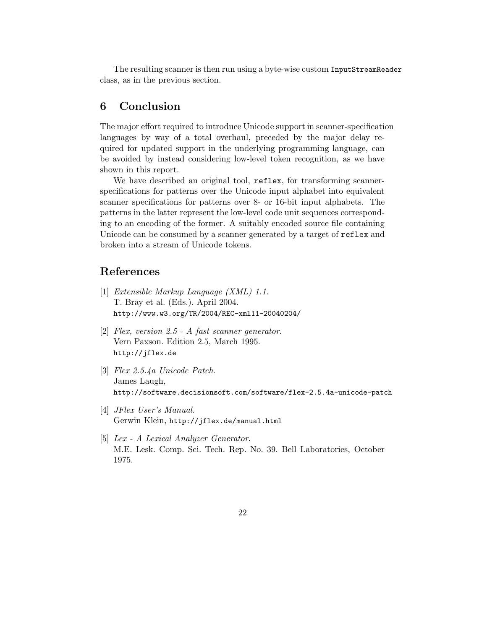The resulting scanner is then run using a byte-wise custom InputStreamReader class, as in the previous section.

# 6 Conclusion

The major effort required to introduce Unicode support in scanner-specification languages by way of a total overhaul, preceded by the major delay required for updated support in the underlying programming language, can be avoided by instead considering low-level token recognition, as we have shown in this report.

We have described an original tool, reflex, for transforming scannerspecifications for patterns over the Unicode input alphabet into equivalent scanner specifications for patterns over 8- or 16-bit input alphabets. The patterns in the latter represent the low-level code unit sequences corresponding to an encoding of the former. A suitably encoded source file containing Unicode can be consumed by a scanner generated by a target of reflex and broken into a stream of Unicode tokens.

## References

- [1] Extensible Markup Language (XML) 1.1. T. Bray et al. (Eds.). April 2004. http://www.w3.org/TR/2004/REC-xml11-20040204/
- [2] Flex, version 2.5 A fast scanner generator. Vern Paxson. Edition 2.5, March 1995. http://jflex.de
- [3] Flex 2.5.4a Unicode Patch. James Laugh, http://software.decisionsoft.com/software/flex-2.5.4a-unicode-patch
- [4] JFlex User's Manual. Gerwin Klein, http://jflex.de/manual.html
- [5] Lex A Lexical Analyzer Generator. M.E. Lesk. Comp. Sci. Tech. Rep. No. 39. Bell Laboratories, October 1975.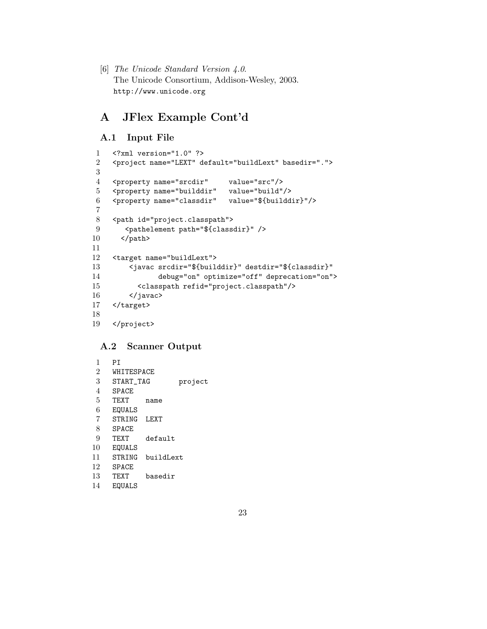[6] The Unicode Standard Version 4.0. The Unicode Consortium, Addison-Wesley, 2003. http://www.unicode.org

# A JFlex Example Cont'd

## A.1 Input File

```
1 <?xml version="1.0" ?>
 2 <project name="LEXT" default="buildLext" basedir=".">
 3
 4 <property name="srcdir" value="src"/>
 5 <property name="builddir" value="build"/>
 6 <property name="classdir" value="${builddir}"/>
 7
 8 <path id="project.classpath">
9 <pathelement path="${classdir}" />
10 \times /path11
12 <target name="buildLext">
13 <javac srcdir="${builddir}" destdir="${classdir}"
14 debug="on" optimize="off" deprecation="on">
15 <classpath refid="project.classpath"/>
16 </javac>
17 </target>
18
19 </project>
```
## A.2 Scanner Output

| 1              | PT           |           |         |
|----------------|--------------|-----------|---------|
| $\overline{2}$ | WHITESPACE   |           |         |
| 3              | START TAG    |           | project |
| 4              | <b>SPACE</b> |           |         |
| 5              | <b>TFXT</b>  | name      |         |
| 6              | EQUALS       |           |         |
| 7              | STRING       | LEXT      |         |
| 8              | SPACE.       |           |         |
| 9              | TF.XT        | default   |         |
| 10             | EQUALS       |           |         |
| 11             | STRING       | buildLext |         |
| 12             | SPACE.       |           |         |
| 13             | TF.XT        | basedir   |         |
| 14             | EQUALS       |           |         |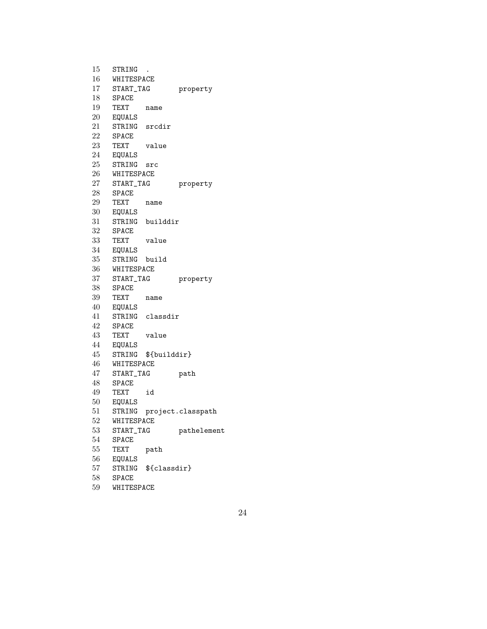| 15              | STRING           |                     |                   |
|-----------------|------------------|---------------------|-------------------|
| $16\,$          | WHITESPACE       |                     |                   |
| 17 <sup>1</sup> | START_TAG        |                     | property          |
| 18              | SPACE            |                     |                   |
| 19              | TEXT             | name                |                   |
| 20              | EQUALS           |                     |                   |
| 21              | STRING           | srcdir              |                   |
| 22              | <b>SPACE</b>     |                     |                   |
| 23              | TEXT             | value               |                   |
| 24              | EQUALS           |                     |                   |
| 25              | STRING           | src                 |                   |
| 26              | WHITESPACE       |                     |                   |
| 27              | START_TAG        |                     | property          |
| 28              | SPACE            |                     |                   |
| 29              | <b>TEXT</b>      | name                |                   |
| 30              | EQUALS           |                     |                   |
| 31              | STRING           | builddir            |                   |
| 32              | SPACE            |                     |                   |
| 33              | TEXT             | value               |                   |
| 34              | EQUALS           |                     |                   |
| 35              | STRING           | build               |                   |
| 36              | WHITESPACE       |                     |                   |
| 37              | START_TAG        |                     | property          |
| 38              | SPACE            |                     |                   |
| 39              | <b>TEXT</b>      | name                |                   |
| 40              | EQUALS           |                     |                   |
| 41              |                  | STRING classdir     |                   |
| 42              | <b>SPACE</b>     |                     |                   |
| 43              | TEXT             | value               |                   |
| 44              | EQUALS           |                     |                   |
| 45              |                  | STRING \${builddir} |                   |
| 46              | WHITESPACE       |                     |                   |
| 47              | START_TAG        |                     | path              |
| 48              | <b>SPACE</b>     |                     |                   |
| 49              | TEXT             | id                  |                   |
| 50              | EQUALS           |                     |                   |
| 51              | STRING           |                     | project.classpath |
| 52              | WHITESPACE       |                     |                   |
| 53              | START_TAG        |                     | pathelement       |
| 54              | SPACE            |                     |                   |
| 55              | TEXT             | path                |                   |
| 56              |                  |                     |                   |
|                 |                  |                     |                   |
|                 | EQUALS<br>STRING |                     |                   |
| $57\,$          | <b>SPACE</b>     | \${classdir}        |                   |
| 58<br>59        | WHITESPACE       |                     |                   |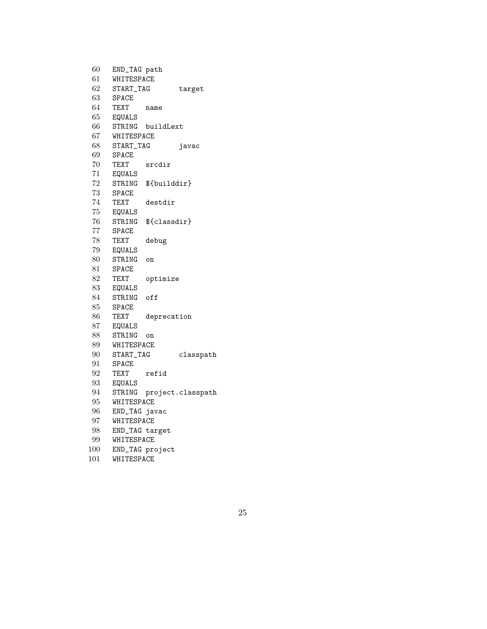| 60       | END_TAG path   |                  |                   |
|----------|----------------|------------------|-------------------|
| 61       | WHITESPACE     |                  |                   |
| 62       | START_TAG      |                  | target            |
| 63       | <b>SPACE</b>   |                  |                   |
| 64       | TEXT           | name             |                   |
| 65       | <b>EQUALS</b>  |                  |                   |
| 66       |                | STRING buildLext |                   |
| 67       | WHITESPACE     |                  |                   |
| 68       | START_TAG      |                  | javac             |
| 69       | SPACE          |                  |                   |
| 70       | TEXT           | srcdir           |                   |
| 71       | EQUALS         |                  |                   |
| 72       | STRING         | \${builddir}     |                   |
| 73       | SPACE          |                  |                   |
| 74       | TEXT           | destdir          |                   |
| 75       | EQUALS         |                  |                   |
| 76       | STRING         | \${classdir}     |                   |
| 77       | <b>SPACE</b>   |                  |                   |
| 78       | TEXT           | debug            |                   |
| 79       | EQUALS         |                  |                   |
| 80       | STRING         | on               |                   |
| 81       | <b>SPACE</b>   |                  |                   |
| 82       | TEXT           | optimize         |                   |
| 83       | EQUALS         |                  |                   |
| 84       | STRING         | off              |                   |
| 85       | <b>SPACE</b>   |                  |                   |
| 86.      | TEXT           | deprecation      |                   |
| 87       | EQUALS         |                  |                   |
| 88.      | STRING         | on               |                   |
| 89       | WHITESPACE     |                  |                   |
| 90       | START_TAG      |                  | classpath         |
| 91       | SPACE          |                  |                   |
| 92       | TEXT           | refid            |                   |
| 93       | EQUALS         |                  |                   |
| 94       | STRING         |                  | project.classpath |
| 95       | WHITESPACE     |                  |                   |
| 96       | END_TAG javac  |                  |                   |
| $\rm 97$ | WHITESPACE     |                  |                   |
| 98       | END_TAG target |                  |                   |
| 99       | WHITESPACE     |                  |                   |
| 100      |                | END_TAG project  |                   |
| 101      | WHITESPACE     |                  |                   |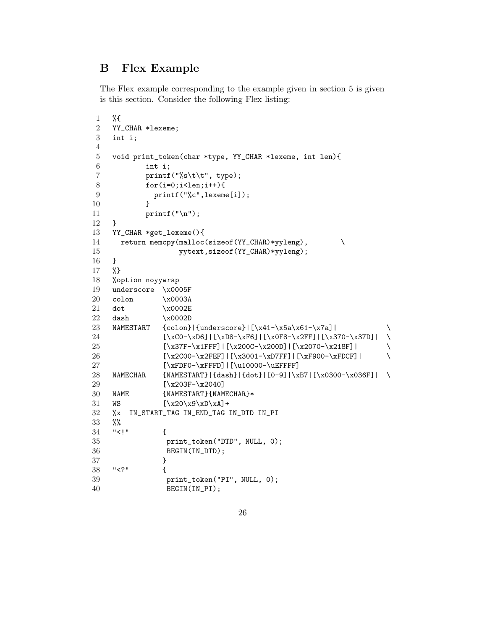# B Flex Example

The Flex example corresponding to the example given in section 5 is given is this section. Consider the following Flex listing:

```
1 %{
2 YY_CHAR *lexeme;
3 int i;
4
5 void print_token(char *type, YY_CHAR *lexeme, int len){
6 int i;
7 printf("%s\t\t", type);
8 for(i=0; i<len; i++){
9 printf("%c",lexeme[i]);
10 }
11 print(''\n');
12 }
13 YY_CHAR *get_lexeme(){
14 return memcpy(malloc(sizeof(YY_CHAR)*yyleng), \setminus15 yytext, sizeof(YY_CHAR)*yyleng);
16 }
17 %}
18 %option noyywrap
19 underscore \x0005F
20 colon \x0003A
21 dot \x0002E
22 dash \x0002D
23 NAMESTART {colon}{colon}|{underscore}|[\x41-\x5a\x61-\x7a]| \
24 [\xCO-\xDG] | [\xCO-\xPG] | [\xO8-\xC+ \x2FF] | [\x370-\x37D] | \25 [\x37F-\x1FFF]|[\x200C-\x200D]|[\x2070-\x218F]| \
26 [\x2C00-\x2FEF] | [\x3001-\xD7FF] | [\xF900-\xFDCF] | \xF900-\xFDCF]27 [\xFDF0-\xFFFD]|[\u10000-\uEFFFF]
28 NAMECHAR {NAMESTART}|{dash}|{dot}|[0-9]|\xB7|[\x0300-\x036F]| \
29 [\x203F-\x2040]30 NAME {NAMESTART}{NAMECHAR}*
31 WS [\x20\x9\xD\xA]+32 %x IN_START_TAG IN_END_TAG IN_DTD IN_PI
33 %%
34 "<!" \{35 print_token("DTD", NULL, 0);
36 BEGIN(IN_DTD);
37 }
38 "<?" {
39 print_token("PI", NULL, 0);
40 BEGIN(IN_PI);
```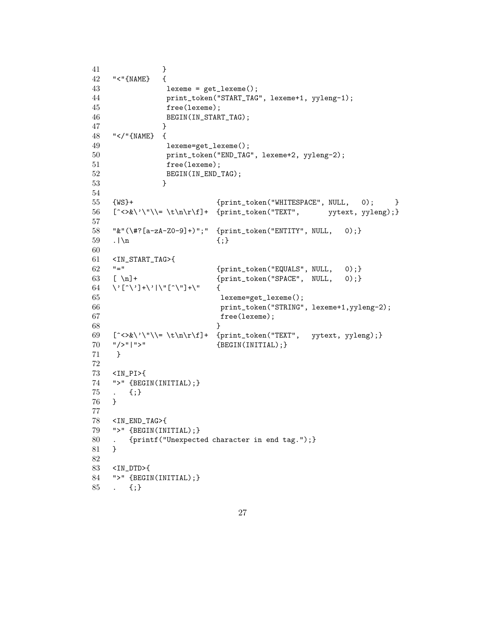```
41 }
42 "<"{NAME} {
43 lexeme = get_lexeme();
44 print_token("START_TAG", lexeme+1, yyleng-1);
45 free(lexeme);
46 BEGIN(IN_START_TAG);
47 }
48 "</"{NAME} {
49 lexeme=get_lexeme();
50 print_token("END_TAG", lexeme+2, yyleng-2);
51 free(lexeme);
52 BEGIN(IN_END_TAG);
53 }
54
55 {WS}+ {print_token("WHITESPACE", NULL, 0); }
56 [^{\ltimes}\\\' \\\le \t\ln\r\f]+ \{print\_token("TEXT", \tyyleng);\}57
58 "&"(\#?[a-zA-Z0-9]+)";" {print_token("ENTITY", NULL, 0);}
59 . |\n\ln {; }
60
61 <IN_START_TAG>{
62 "=" {print\_token("EQUALS", NULL, 0)};
63 [ \n]+ {print\_token("SPACE", NULL, 0)};
64 \'[^\']+\'|\"[^\"]+\" {
65 lexeme=get_lexeme();
66 print_token("STRING", lexeme+1,yyleng-2);
67 free(lexeme);
68 }
69 \quad [\text{>>&}\text{\\}\text{\\k$}+ \{print\_token("TEXT", yytext, yyleng);\}70 "/>"|">" {BEGIN(INITIAL);}
71 }
72
73 <IN_PI>{
74 ">" {BEGIN(INITIAL);}
75 . {;}
76 }
77
78 <IN_END_TAG>{
79 ">" {BEGIN(INITIAL);}
80 . {printf("Unexpected character in end tag.");}
81 }
82
83 <IN_DTD>{
84 ">" {BEGIN(INITIAL);}
85 . {;}
```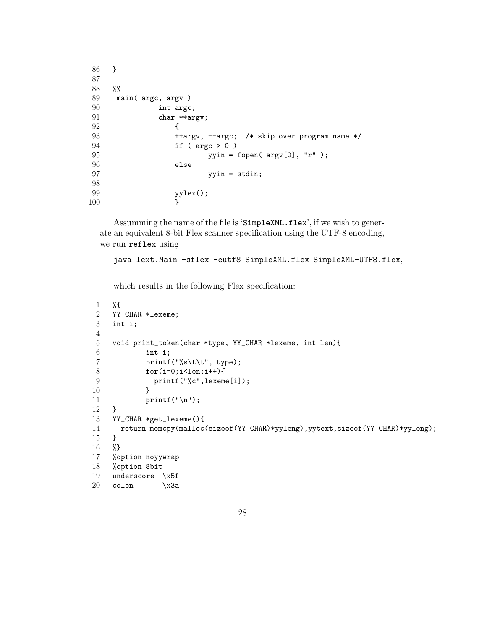```
86 }
87
88 %%
89 main( argc, argv )
90 int argc;
91 char **argv;
92 {
93 ++argv, --argc; /* skip over program name */
94 if ( argc > 0 )
95 yyin = fopen(\arg(y[0], "r");
96 else
97 yyin = stdin;
98
99 yylex();
100 }
```
Assumming the name of the file is 'SimpleXML.flex', if we wish to generate an equivalent 8-bit Flex scanner specification using the UTF-8 encoding, we run reflex using

```
java lext.Main -sflex -eutf8 SimpleXML.flex SimpleXML-UTF8.flex,
```
which results in the following Flex specification:

```
1 %{
2 YY_CHAR *lexeme;
3 int i;
4
5 void print_token(char *type, YY_CHAR *lexeme, int len){
6 int i;
7 <br> printf("%s\t\t", type);
8 for(i=0; i<len; i++){
9 printf("%c",lexeme[i]);
10 }
11 print("n");
12 }
13 YY_CHAR *get_lexeme(){
14 return memcpy(malloc(sizeof(YY_CHAR)*yyleng),yytext,sizeof(YY_CHAR)*yyleng);
15 }
16 %}
17 %option noyywrap
18 %option 8bit
19 underscore \x5f
20 \cosh \chi3a
```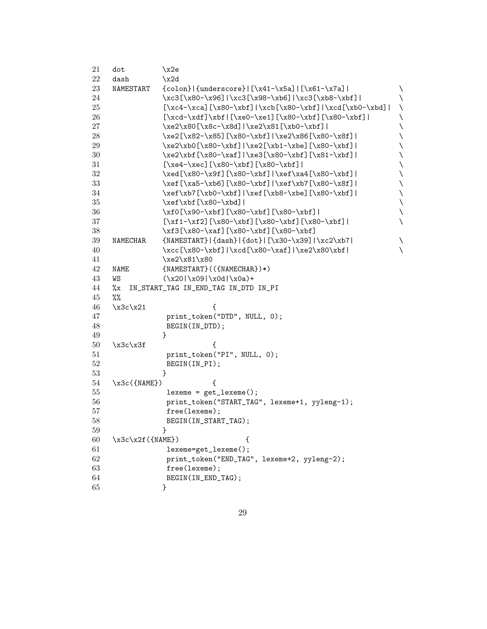| 21     | dot               | \x2e                                                    |   |
|--------|-------------------|---------------------------------------------------------|---|
| 22     | dash              | x2d                                                     |   |
| 23     | NAMESTART         | $\{colon\}$   {underscore}   [\x41-\x5a]   [\x61-\x7a]  | ∖ |
| 24     |                   | \xc3[\x80-\x96] \xc3[\x98-\xb6] \xc3[\xb8-\xbf]         | ∖ |
| 25     |                   | $[\xc4-\xca][\x80-\xbf]/xcb[\x80-\xbf]/xcd[\xb0-\xbd] $ | ∖ |
| 26     |                   | $[\xcd-\xdf]\xbf] [xe0-\xe1] [\x80-\xbf] [\x80-\xbf] ]$ |   |
| 27     |                   | \xe2\x80[\x8c-\x8d] \xe2\x81[\xb0-\xbf]                 |   |
| 28     |                   | \xe2[\x82-\x85][\x80-\xbf] \xe2\x86[\x80-\x8f]          |   |
| 29     |                   | \xe2\xb0[\x80-\xbf] \xe2[\xb1-\xbe][\x80-\xbf]          |   |
| $30\,$ |                   | \xe2\xbf[\x80-\xaf] \xe3[\x80-\xbf][\x81-\xbf]          |   |
| 31     |                   | $[\xe4-\xec](\x80-\xbf{}[\x80-\xbf{}$                   |   |
| $32\,$ |                   | \xed[\x80-\x9f][\x80-\xbf] \xef\xa4[\x80-\xbf]          |   |
| 33     |                   | \xef[\xa5-\xb6][\x80-\xbf] \xef\xb7[\x80-\x8f]          |   |
| 34     |                   | \xef\xb7[\xb0-\xbf] \xef[\xb8-\xbe][\x80-\xbf]          |   |
| $35\,$ |                   | $\xet\xbf[\x80-\xbd]$                                   |   |
| 36     |                   | \xf0[\x90-\xbf][\x80-\xbf][\x80-\xbf]                   |   |
| $37\,$ |                   | $[\xf1-\xf2] [\x80-\xbf] [\x80-\xbf] [\x80-\xbf] ]$     |   |
| $38\,$ |                   | \xf3[\x80-\xaf][\x80-\xbf][\x80-\xbf]                   |   |
| 39     | NAMECHAR          | $\{NAMESTART\} \{dash\} \{dot\} \[\x30-\x39] \xc2\xb7 $ | ∖ |
| 40     |                   | \xcc[\x80-\xbf] \xcd[\x80-\xaf] \xe2\x80\xbf            |   |
| 41     |                   | \xe2\x81\x80                                            |   |
| 42     | NAME              | $\{NAMESTART\}$ ( $\{NAMECHAR\}$ )*)                    |   |
| 43     | WS                | $(\x20 \x09 \x0d \x0a)$ +                               |   |
| 44     | %x                | IN_START_TAG IN_END_TAG IN_DTD IN_PI                    |   |
| 45     | $\%$              |                                                         |   |
| 46     | $x3c \x21$        | €                                                       |   |
| 47     |                   | print_token("DTD", NULL, 0);                            |   |
| 48     |                   | BEGIN(IN_DTD);                                          |   |
| 49     |                   | ł                                                       |   |
| 50     | $x3c \x3f$        | €                                                       |   |
| 51     |                   | print_token("PI", NULL, 0);                             |   |
| 52     |                   | BEGIN(IN_PI);                                           |   |
| 53     |                   | ł                                                       |   |
| 54     | \x3c({NAME})      | ſ                                                       |   |
| 55     |                   | $lexeme = get\_lexeme()$ ;                              |   |
| 56     |                   | print_token("START_TAG", lexeme+1, yyleng-1);           |   |
| 57     |                   | free(lexeme);                                           |   |
| 58     |                   | BEGIN(IN_START_TAG);                                    |   |
| 59     |                   | ł                                                       |   |
| 60     | $\x3c\x2f({MME})$ | ₹                                                       |   |
| 61     |                   | lexeme=get_lexeme();                                    |   |
| 62     |                   | print_token("END_TAG", lexeme+2, yyleng-2);             |   |
| 63     |                   | free(lexeme);                                           |   |
| 64     |                   | BEGIN(IN_END_TAG);                                      |   |
| 65     |                   |                                                         |   |
|        |                   |                                                         |   |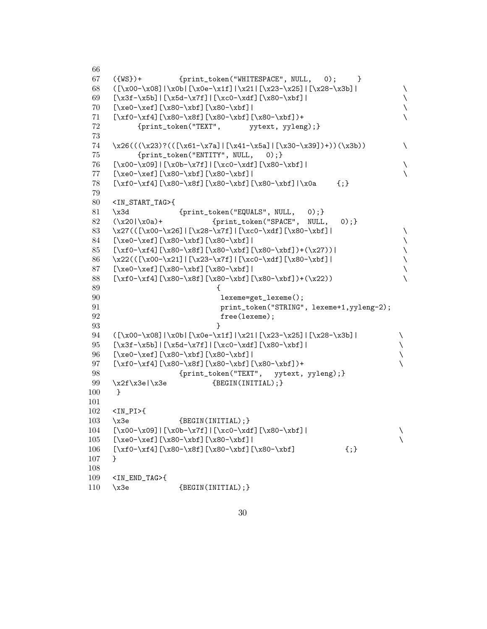```
66
67 ({WS})+ {print_token("WHITESPACE", NULL, 0); }
68 ([x00-\x08]\x0b][x0e-\x1f]/x21][x23-\x25][x28-\x25]69 [\x3f-\x5b] | [\x5d-\x7f] | [\xc0-\xdf] [x80-\xbf{} ]70 [\xe0-\xef][\x80-\xbf][\x80-\xbf]| \
71 [\xf0-\xf4][\x80-\x8f][\x80-\xbf][\x80-\xbf])+ \
72 {print_token("TEXT", yytext, yyleng);}
73
74 \quad \x26((\x23)?(([\x61-\x7a)]\x41-\x5a] |[\x30-\x39])+))(\x3b))75 {print_token("ENTITY", NULL, 0);}
76 [\x00-\x09]|[\x0b-\x7f]|[\xc0-\xdf][\x80-\xbf]| \
77 [\xe0-\xef][\x80-\xbf][\x80-\xbf]| \
78 [\xf0-\xf4][\x80-\x8f][\x80-\xbf][\x80-\xbf]|\x0a {;}
79
80 <IN_START_TAG>{
81 \x3d {print_token("EQUALS", NULL, 0);}
82 \quad (\verb|\x20|\verb|\x0a)+ \{print\_token("SPACE", NULL, 0);}83 \x27(([\x00-\x26]|[\x28-\x7f]|[\xc0-\xdf][\x80-\xbf]| \
84 [\xe0-\xef][\x80-\xbf][\x80-\xbf]| \
85 [\x60-\x64] [\x80-\x8f] [\x80-\x6f] [\x80-\x6f] +(\x27)]86 \quad \x22((\{x00-\x21\}[\{x23-\x7f\}][\{xc0-\xdf\}]\87 [\xe0-\xef][\x80-\xbf][\x80-\xbf]| \
88 [\xf0-\xf4][\x80-\x8f][\x80-\xbf][\x80-\xbf])+(\x22))
89 {
90 lexeme=get_lexeme();
91 print_token("STRING", lexeme+1,yyleng-2);
92 free(lexeme);
93 }
94 ([\x00-\x08]|\x0b|[\x0e-\x1f]|\x21|[\x23-\x25]|[\x28-\x3b]| \
95 [\x3f-\x5b] |[\x5d-\x7f] |[\xc0-\xdf] [\x80-\xbf{f}]96 [\xe0-\xef][\x80-\xbf][\x80-\xbf]| \{97 [\xf0-\xf4][\x80-\x8f][\x80-\xbf][\x80-\xbf])+
98 {print_token("TEXT", yytext, yyleng);}
99 \ \ x2f\x3e|\x3e {BEGIN(INITIAL);}
100 }
101
102 <IN_PI>{
103 \x3e {BEGIN(INITIAL);}
104 [\x00-\x09]|[\x0b-\x7f]|[\xc0-\xdf][\x80-\xbf]| \
105 [\xe0-\xef][\x80-\xbf][\x80-\xbf]] \qquad \qquad106 [\x60-\x60-\x8f][\x80-\x6f][\x80-\x6f]107 }
108
109 <IN_END_TAG>{
110 \x3e {BEGIN(INITIAL);}
```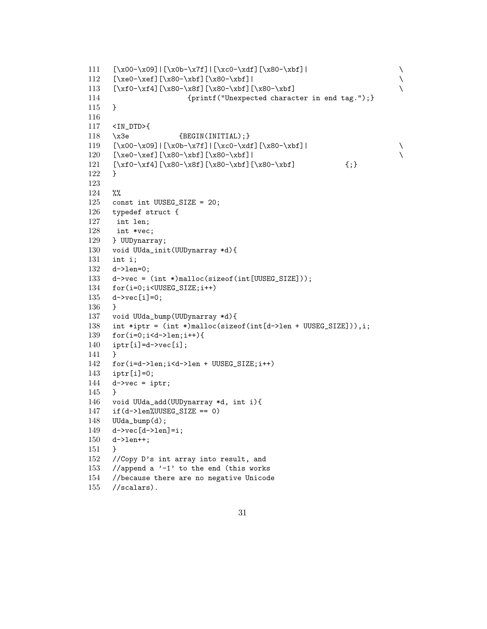```
111 [\x00-\x09] | [\x0b-\x7f] | [\xc0-\xdf] [\x80-\xbf] |<br>112 [\xe0-\xef] [\x80-\xbf] [\x80-\xbf] |[\xe0-\xef](\x80-\xbf{}] [\x80-\xbf]]
113 [\x60-\x61][\x80-\x61][\x80-\x61][\x80-\x61]114 {printf("Unexpected character in end tag.");}115 }
116
117 <IN_DTD>{
118 \x3e {BEGIN(INITIAL); }
119 [\x00-\x09]|[\x0b-\x7f]|[\xc0-\xdf][\x80-\xbf]| \<br>120 [\xe0-\xef][\x80-\xbf][\x80-\xbf]| \
120 [\xe0-\xef][\x80-\xbf][\x80-\xbf]|
121 [\x60-\x64] [\x80-\x8f] [\x80-\xbf{1} [\x80-\xbf{1} ]122 }
123
124 %%
125 const int UUSEG_SIZE = 20;
126 typedef struct {
127 int len;
128 int *vec;
129 } UUDynarray;
130 void UUda_init(UUDynarray *d){
131 int i;
132 d->len=0;
133 d->vec = (int *)malloc(sizeof(int[UUSEG_SIZE]));
134 for(i=0;i<UUSEG_SIZE;i++)
135 d->vec[i]=0;
136 }
137 void UUda_bump(UUDynarray *d){
138 int *iptr = (int *)malloc(sizeof(int[d->len + UUSEG_SIZE])),i;
139 for(i=0;i<d->len;i++){
140 iptr[i]=d-\text{vec}[i];141 }
142 for(i=d->len;i<d->len + UUSEG_SIZE;i++)
143 iptr[i]=0;
144 d->vec = iptr;
145 }
146 void UUda_add(UUDynarray *d, int i){
147 if (d-\lambda)en%UUSEG_SIZE == 0)
148 UUda_bump(d);
149 d->vec[d->len]=i;
150 d->len++;
151 }
152 //Copy D's int array into result, and
153 //append a -1' to the end (this works)
154 //because there are no negative Unicode
155 //scalars).
```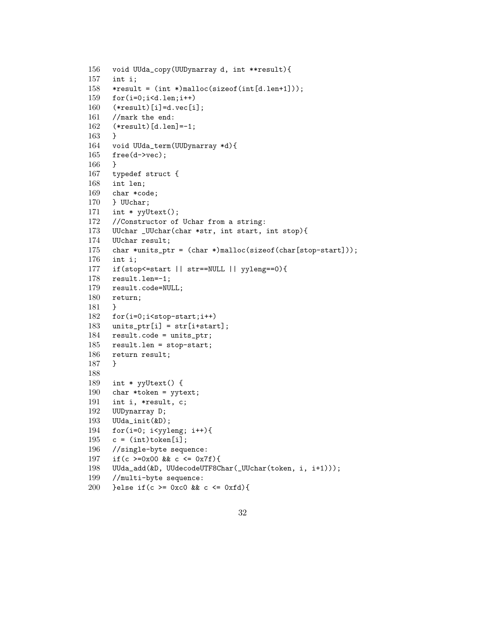```
156 void UUda_copy(UUDynarray d, int **result){
157 int i;
158 *result = (int *)malloc(sizeof(int[d.len+1]));
159 for(i=0;i<d.len;i++)
160 (*result)[i]=d.vec[i];
161 //mark the end:
162 (*result)[d.len]=-1;
163 }
164 void UUda_term(UUDynarray *d){
165 free(d->vec);
166 }
167 typedef struct {
168 int len;
169 char *code;
170 } UUchar;
171 int * yyUtext();
172 //Constructor of Uchar from a string:
173 UUchar _UUchar(char *str, int start, int stop){
174 UUchar result;
175 char *units_ptr = (char *)malloc(sizeof(char[stop-start]));
176 int i;
177 if(stop<=start || str==NULL || yyleng==0){
178 result.len=-1;
179 result.code=NULL;
180 return;
181 }
182 for(i=0;i<stop-start;i++)
183 units_ptr[i] = str[i+start];
184 result.code = units_ptr;
185 result.len = stop-start;
186 return result;
187 }
188
189 int * yyUtext() {
190 char *token = yytext;
191 int i, *result, c;
192 UUDynarray D;
193 UUda_init(&D);
194 for(i=0; i<yyleng; i++){
195 c = (int) token[i];
196 //single-byte sequence:
197 if(c >=0x00 && c <= 0x7f){
198 UUda_add(&D, UUdecodeUTF8Char(_UUchar(token, i, i+1)));
199 //multi-byte sequence:
200 }else if(c >= 0xc0 && c <= 0xfd){
```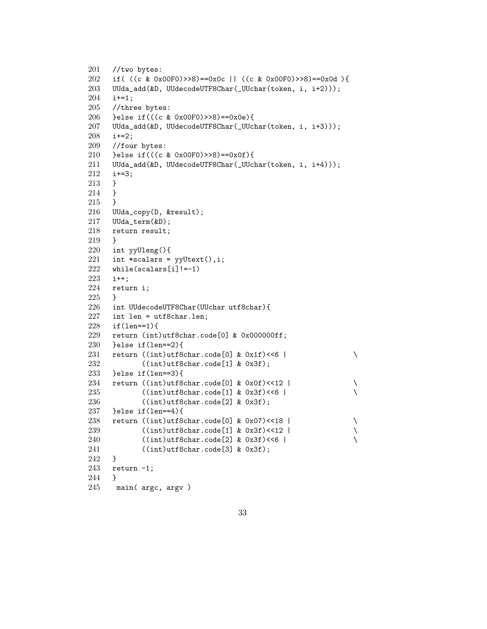```
201 //two bytes:
202 if( ((c & 0x00F0)>>8)==0x0c || ((c & 0x00F0)>>8)==0x0d ){
203 UUda_add(&D, UUdecodeUTF8Char(_UUchar(token, i, i+2)));
204 i+=1;
205 //three bytes:
206 }else if(((c & 0x00F0)>>8)==0x0e){
207 UUda_add(&D, UUdecodeUTF8Char(_UUchar(token, i, i+3)));
208 i+=2;
209 //four bytes:
210 }else if(((c & 0x00F0)>>8)==0x0f){
211 UUda_add(&D, UUdecodeUTF8Char(_UUchar(token, i, i+4)));
212 i+=3;
213 }
214 }
215 }
216 UUda_copy(D, &result);
217 UUda_term(&D);
218 return result;
219 }
220 int yyUleng(){
221 int *scalars = yyUtext(), i;
222 while(scalars[i]!=-1)
223 i++;
224 return i;
225 }
226 int UUdecodeUTF8Char(UUchar utf8char){
227 int len = utf8char.len;
228 if(len==1){
229 return (int)utf8char.code[0] & 0x000000ff;
230 }else if(len==2){
231 return (\text{int})utf8char.code[0] & 0x1f)<<6 |
232 ((int)utf8char.code[1] & 0x3f);
233 }else if(len==3){
234 return (\text{int})utf8char.code[0] & 0x0f) <<12 |
235 ((int)utf8char.code[1] & 0x3f)<<6 |
236 ((int)utf8char.code[2] & 0x3f);<br>237 }else if(len==4){
    }else if(len==4){
238 return ((int)utf8char.code[0] & 0x07)<<18 | \
239 ((int)utf8char.code[1] & 0x3f) <<12 |
240 ((int)utf8char.code[2] & 0x3f) <<6 |
241 ((int)utf8char.code[3] & 0x3f);
242 }
243 return -1;
244 }
245 main( argc, argv )
```